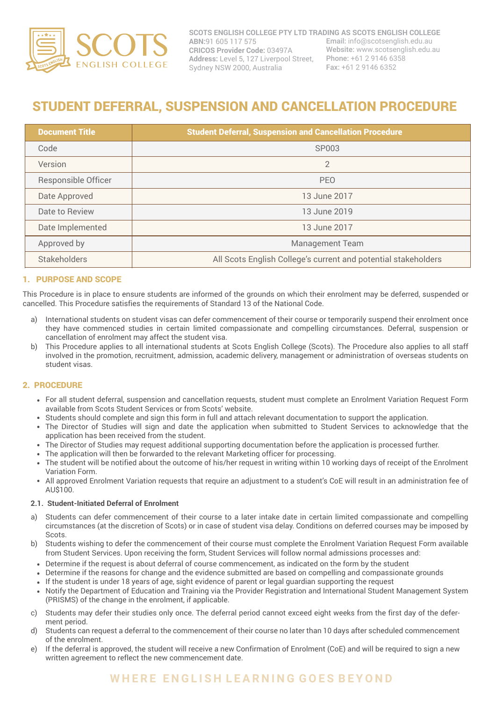

# STUDENT DEFERRAL, SUSPENSION AND CANCELLATION PROCEDURE

| <b>Document Title</b> | <b>Student Deferral, Suspension and Cancellation Procedure</b> |
|-----------------------|----------------------------------------------------------------|
| Code                  | SP003                                                          |
| Version               | $\overline{2}$                                                 |
| Responsible Officer   | <b>PEO</b>                                                     |
| Date Approved         | 13 June 2017                                                   |
| Date to Review        | 13 June 2019                                                   |
| Date Implemented      | 13 June 2017                                                   |
| Approved by           | <b>Management Team</b>                                         |
| <b>Stakeholders</b>   | All Scots English College's current and potential stakeholders |

## 1. PURPOSE AND SCOPE

This Procedure is in place to ensure students are informed of the grounds on which their enrolment may be deferred, suspended or cancelled. This Procedure satisfies the requirements of Standard 13 of the National Code.

- a) International students on student visas can defer commencement of their course or temporarily suspend their enrolment once they have commenced studies in certain limited compassionate and compelling circumstances. Deferral, suspension or cancellation of enrolment may affect the student visa.
- This Procedure applies to all international students at Scots English College (Scots). The Procedure also applies to all staff involved in the promotion, recruitment, admission, academic delivery, management or administration of overseas students on student visas. b)

# 2. PROCEDURE

- For all student deferral, suspension and cancellation requests, student must complete an Enrolment Variation Request Form available from Scots Student Services or from Scots' website.
- Students should complete and sign this form in full and attach relevant documentation to support the application.
- The Director of Studies will sign and date the application when submitted to Student Services to acknowledge that the application has been received from the student.
- The Director of Studies may request additional supporting documentation before the application is processed further.
- The application will then be forwarded to the relevant Marketing officer for processing.
- The student will be notified about the outcome of his/her request in writing within 10 working days of receipt of the Enrolment Variation Form.
- All approved Enrolment Variation requests that require an adjustment to a student's CoE will result in an administration fee of AU\$100.

#### **2.1. Student-Initiated Deferral of Enrolment**

- a) Students can defer commencement of their course to a later intake date in certain limited compassionate and compelling circumstances (at the discretion of Scots) or in case of student visa delay. Conditions on deferred courses may be imposed by Scots.
- b) Students wishing to defer the commencement of their course must complete the Enrolment Variation Request Form available from Student Services. Upon receiving the form, Student Services will follow normal admissions processes and:
- Determine if the request is about deferral of course commencement, as indicated on the form by the student
- Determine if the reasons for change and the evidence submitted are based on compelling and compassionate grounds
- If the student is under 18 years of age, sight evidence of parent or legal guardian supporting the request
- Notify the Department of Education and Training via the Provider Registration and International Student Management System (PRISMS) of the change in the enrolment, if applicable.
- c) Students may defer their studies only once. The deferral period cannot exceed eight weeks from the first day of the deferment period.
- Students can request a deferral to the commencement of their course no later than 10 days after scheduled commencement of the enrolment. d)
- If the deferral is approved, the student will receive a new Confirmation of Enrolment (CoE) and will be required to sign a new written agreement to reflect the new commencement date. e)

# **W H E R E E N G L I S H L E A R N I N G G O E S B E Y O N D**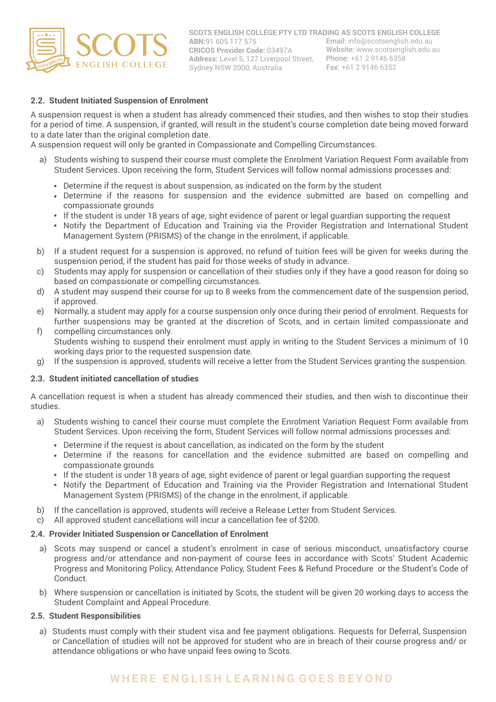

# **2.2. Student Initiated Suspension of Enrolment**

A suspension request is when a student has already commenced their studies, and then wishes to stop their studies for a period of time. A suspension, if granted, will result in the student's course completion date being moved forward to a date later than the original completion date.

A suspension request will only be granted in Compassionate and Compelling Circumstances.

- a) Students wishing to suspend their course must complete the Enrolment Variation Request Form available from Student Services. Upon receiving the form, Student Services will follow normal admissions processes and:
	- Determine if the request is about suspension, as indicated on the form by the student
	- Determine if the reasons for suspension and the evidence submitted are based on compelling and compassionate grounds
	- If the student is under 18 years of age, sight evidence of parent or legal guardian supporting the request
	- Notify the Department of Education and Training via the Provider Registration and International Student Management System (PRISMS) of the change in the enrolment, if applicable.
- If a student request for a suspension is approved, no refund of tuition fees will be given for weeks during the suspension period, if the student has paid for those weeks of study in advance. b)
- Students may apply for suspension or cancellation of their studies only if they have a good reason for doing so based on compassionate or compelling circumstances. c)
- A student may suspend their course for up to 8 weeks from the commencement date of the suspension period, if approved. d)
- Normally, a student may apply for a course suspension only once during their period of enrolment. Requests for further suspensions may be granted at the discretion of Scots, and in certain limited compassionate and e)
- compelling circumstances only. Students wishing to suspend their enrolment must apply in writing to the Student Services a minimum of 10 working days prior to the requested suspension date. f)
- If the suspension is approved, students will receive a letter from the Student Services granting the suspension. g)

#### **2.3. Student initiated cancellation of studies**

A cancellation request is when a student has already commenced their studies, and then wish to discontinue their studies.

- Students wishing to cancel their course must complete the Enrolment Variation Request Form available from Student Services. Upon receiving the form, Student Services will follow normal admissions processes and: a)
	- Determine if the request is about cancellation, as indicated on the form by the student
	- Determine if the reasons for cancellation and the evidence submitted are based on compelling and compassionate grounds
	- If the student is under 18 years of age, sight evidence of parent or legal guardian supporting the request
	- Notify the Department of Education and Training via the Provider Registration and International Student Management System (PRISMS) of the change in the enrolment, if applicable.
- b) If the cancellation is approved, students will receive a Release Letter from Student Services.
- All approved student cancellations will incur a cancellation fee of \$200. c)

#### **2.4. Provider Initiated Suspension or Cancellation of Enrolment**

- a) Scots may suspend or cancel a student's enrolment in case of serious misconduct, unsatisfactory course progress and/or attendance and non-payment of course fees in accordance with Scots' Student Academic Progress and Monitoring Policy, Attendance Policy, Student Fees & Refund Procedure or the Student's Code of Conduct.
- Where suspension or cancellation is initiated by Scots, the student will be given 20 working days to access the b) Student Complaint and Appeal Procedure.

#### **2.5. Student Responsibilities**

a) Students must comply with their student visa and fee payment obligations. Requests for Deferral, Suspension or Cancellation of studies will not be approved for student who are in breach of their course progress and/ or attendance obligations or who have unpaid fees owing to Scots.

# **W H E R E E N G L I S H L E A R N I N G G O E S B E Y O N D**